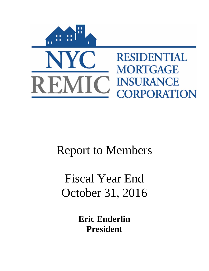

# Report to Members

# Fiscal Year End October 31, 2016

**Eric Enderlin President**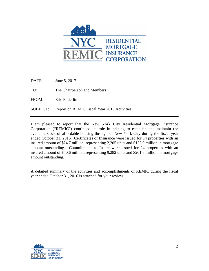

DATE: June 5, 2017

TO: The Chairperson and Members

FROM: Eric Enderlin

SUBJECT: Report on REMIC Fiscal Year 2016 Activities

I am pleased to report that the New York City Residential Mortgage Insurance Corporation ("REMIC") continued its role in helping to establish and maintain the available stock of affordable housing throughout New York City during the fiscal year ended October 31, 2016. Certificates of Insurance were issued for 14 properties with an insured amount of \$24.7 million, representing 2,205 units and \$122.0 million in mortgage amount outstanding. Commitments to Insure were issued for 24 properties with an insured amount of \$40.6 million, representing 9,282 units and \$201.5 million in mortgage amount outstanding.

A detailed summary of the activities and accomplishments of REMIC during the fiscal year ended October 31, 2016 is attached for your review.

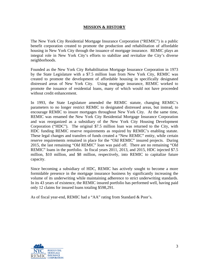# **MISSION & HISTORY**

The New York City Residential Mortgage Insurance Corporation ("REMIC") is a public benefit corporation created to promote the production and rehabilitation of affordable housing in New York City through the issuance of mortgage insurance. REMIC plays an integral role in New York City's efforts to stabilize and revitalize the City's diverse neighborhoods.

Founded as the New York City Rehabilitation Mortgage Insurance Corporation in 1973 by the State Legislature with a \$7.5 million loan from New York City, REMIC was created to promote the development of affordable housing in specifically designated distressed areas of New York City. Using mortgage insurance, REMIC worked to promote the issuance of residential loans, many of which would not have proceeded without credit enhancement.

In 1993, the State Legislature amended the REMIC statute, changing REMIC's parameters to no longer restrict REMIC to designated distressed areas, but instead, to encourage REMIC to insure mortgages throughout New York City. At the same time, REMIC was renamed the New York City Residential Mortgage Insurance Corporation and was reorganized as a subsidiary of the New York City Housing Development Corporation ("HDC"). The original \$7.5 million loan was returned to the City, with HDC funding REMIC reserve requirements as required by REMIC's enabling statute. These legal changes and transfers of funds created a "New REMIC" entity, while certain reserve requirements remained in place for the "Old REMIC" insured projects. During 2015, the last remaining "Old REMIC" loan was paid off. There are no remaining "Old REMIC" loans in the portfolio. In fiscal years 2011, 2013, and 2015, HDC injected \$7.5 million, \$10 million, and \$8 million, respectively, into REMIC to capitalize future capacity.

Since becoming a subsidiary of HDC, REMIC has actively sought to become a more formidable presence in the mortgage insurance business by significantly increasing the volume of its underwriting while maintaining adherence to strict underwriting standards. In its 43 years of existence, the REMIC insured portfolio has performed well, having paid only 12 claims for insured loans totaling \$598,291.

As of fiscal year-end, REMIC had a "AA" rating from Standard & Poor's.

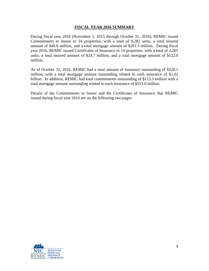### **FISCAL YEAR 2016 SUMMARY**

During fiscal year 2016 (November 1, 2015 through October 31, 2016), REMIC issued Commitments to Insure to 24 properties, with a total of 9,282 units, a total insured amount of \$40.6 million, and a total mortgage amount of \$201.5 million. During fiscal year 2016, REMIC issued Certificates of Insurance to 14 properties, with a total of 2,205 units, a total insured amount of \$24.7 million, and a total mortgage amount of \$122.0 million.

As of October 31, 2016, REMIC had a total amount of insurance outstanding of \$228.1 million, with a total mortgage amount outstanding related to such insurance of \$1.02 billion. In addition, REMIC had total commitments outstanding of \$113.3 million with a total mortgage amount outstanding related to such insurance of \$553.0 million.

Details of the Commitments to Insure and the Certificates of Insurance that REMIC issued during fiscal year 2016 are on the following two pages.

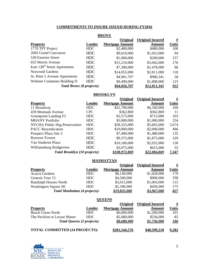# **COMMITMENTS TO INSURE ISSUED DURING FY2016**

| <b>BRONX</b>                             |            |                        |                         |                   |
|------------------------------------------|------------|------------------------|-------------------------|-------------------|
|                                          |            | Original               | <b>Original Insured</b> | <u>#</u>          |
| <b>Property</b>                          | Lender     | <b>Mortgage Amount</b> | Amount                  | <b>Units</b>      |
| 1770 TPT Project                         | HDC        | \$2,400,000            | \$480,000               | 100               |
| 2605 Grand Concourse                     | HDC        | \$9,610,000            | \$1,922,000             | 94                |
| 530 Exterior Street                      | <b>HDC</b> | \$1,000,000            | \$200,000               | 157               |
| 655 Morris Avenue                        | <b>HDC</b> | \$15,210,000           | \$3,042,000             | 176               |
| East 138 <sup>th</sup> Street Apartments | <b>HDC</b> | \$7,390,000            | \$1,478,000             | 96                |
| Norwood Gardens                          | HDC        | \$14,055,000           | \$2,811,000             | 118               |
| St. Peter's Avenue Apartments            | HDC        | \$4,901,707            | \$980,341               | 58                |
| Webster Commons Building D               | HDC        | \$9,490,000            | \$1,898,000             | 123               |
| <b>Total Bronx (8 projects):</b>         |            | <u>\$64,056,707</u>    | \$12,811,341            | $\underline{922}$ |

# **BROOKLYN**

|                                      |            | <b>Original</b>        | <b>Original Insured</b> | #            |
|--------------------------------------|------------|------------------------|-------------------------|--------------|
| <b>Property</b>                      | Lender     | <b>Mortgage Amount</b> | Amount                  | <b>Units</b> |
| 11 Broadway                          | <b>HDC</b> | \$31,700,000           | \$6,340,000             | 160          |
| 439 Montauk Avenue                   | CPC.       | \$362,869              | \$362,869               | 11           |
| Greenpoint Landing F2                | HDC        | \$3,575,000            | \$715,000               | 103          |
| <b>MHANY Portfolio</b>               | HDC        | \$5,000,000            | \$1,000,000             | 254          |
| <b>NYCHA Public Hsg Preservation</b> | <b>HDC</b> | \$28,325,000           | \$5,665,000             | 5,674        |
| <b>PACC</b> Resyndication            | <b>HDC</b> | \$10,000,000           | \$2,000,000             | 496          |
| Prospect Plaza Site 3                | HDC        | \$7,400,000            | \$1,480,000             | 135          |
| <b>Ryerson Towers</b>                | <b>HDC</b> | \$9,375,000            | \$1,875,000             | 329          |
| Van Sinderen Plaza                   | <b>HDC</b> | \$10,160,000           | \$2,032,000             | 130          |
| Williamsburg Bridgeview              | HDC        | \$3,075,000            | \$615,000               | 55           |
| <b>Total Brooklyn (10 projects):</b> |            | \$108,972,869          | \$22,084,869            | 7,347        |

#### **MANHATTAN**

|                             |                                      | Original               | <b>Original Insured</b> | <u>#</u> |
|-----------------------------|--------------------------------------|------------------------|-------------------------|----------|
| <b>Property</b>             | Lender                               | <b>Mortgage Amount</b> | <b>Amount</b>           | Units    |
| Acacia Gardens              | HDC                                  | \$8,140,000            | \$1,628,000             | 179      |
| Genesis Year 15             | HDC                                  | \$4,500,000            | \$900,000               | 358      |
| Randolph Houses North       | HDC                                  | \$5,015,000            | \$1,003,000             | 115      |
| <b>Washington Square SE</b> | HDC.                                 | \$2,180,000            | \$436,000               | 175      |
|                             | <b>Total Manhattan (4 projects):</b> | \$19,835,000           | \$3.967.000             | 827      |

#### **QUEENS**

|                                       |        | Original               | <b>Original Insured</b> | <u>#</u>    |
|---------------------------------------|--------|------------------------|-------------------------|-------------|
| <b>Property</b>                       | Lender | <b>Mortgage Amount</b> | Amount                  | Units       |
| Beach Green North                     | HDC.   | \$6,000,000            | \$1,200,000             | 101         |
| The Pavilion at Locust Manor          | HDC.   | \$2,680,000            | \$536,000               | 85          |
| <b>Total Queens (2 projects):</b>     |        | \$8,680,000            | \$1,736,000             | <u> 186</u> |
| <b>TOTAL COMMITTED (24 PROJECTS):</b> |        | \$201,544,576          | \$40,599,210            | 9,282       |

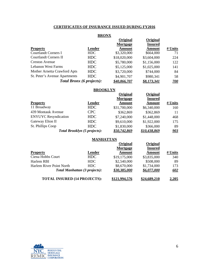# **CERTIFICATES OF INSURANCE ISSUED DURING FY2016**

# **BRONX**

|                                  |            | Original      | Original       |             |
|----------------------------------|------------|---------------|----------------|-------------|
|                                  |            | Mortgage      | <b>Insured</b> |             |
| <b>Property</b>                  | Lender     | <b>Amount</b> | Amount         | # Units     |
| <b>Courtlandt Corners I</b>      | <b>HDC</b> | \$3,320,000   | \$664,000      | 71          |
| <b>Courtlandt Corners II</b>     | HDC        | \$18,020,000  | \$3,604,000    | 224         |
| <b>Creston Avenue</b>            | HDC        | \$5,780,000   | \$1,156,000    | 122         |
| Lebanon West Farms               | HDC        | \$5,125,000   | \$1,025,000    | 141         |
| Mother Arnetta Crawford Apts     | HDC        | \$3,720,000   | \$744,000      | 84          |
| St. Peter's Avenue Apartments    | HDC        | \$4,901,707   | \$980,341      | 58          |
| <b>Total Bronx (6 projects):</b> |            | \$40,866,707  | \$8,173,341    | <u> 700</u> |

#### **BROOKLYN**

|                             |                                     | Original<br>Mortgage | Original<br><b>Insured</b> |            |
|-----------------------------|-------------------------------------|----------------------|----------------------------|------------|
| <b>Property</b>             | Lender                              | <b>Amount</b>        | <b>Amount</b>              | # Units    |
| 11 Broadway                 | HDC                                 | \$31,700,000         | \$6,340,000                | 160        |
| 439 Montauk Avenue          | <b>CPC</b>                          | \$362,869            | \$362,869                  | 11         |
| <b>ENYUYC</b> Resyndication | HDC                                 | \$7,240,000          | \$1,448,000                | 468        |
| Gateway Elton II            | HDC                                 | \$9,610,000          | \$1,922,000                | 175        |
| St. Phillips Coop           | HDC                                 | \$1,830,000          | \$366,000                  | 89         |
|                             | <b>Total Brooklyn (5 projects):</b> | \$50.742.869         | \$10.438.869               | <u>903</u> |

#### **MANHATTAN**

|                                     |                                      | Original     | Original       |         |
|-------------------------------------|--------------------------------------|--------------|----------------|---------|
|                                     |                                      | Mortgage     | <b>Insured</b> |         |
| <b>Property</b>                     | Lender                               | Amount       | <b>Amount</b>  | # Units |
| Ciena Hobbs Court                   | HDC                                  | \$19,175,000 | \$3,835,000    | 340     |
| Harlem RBI                          | HDC.                                 | \$2,540,000  | \$508,000      | 89      |
| Harlem River Point North            | HDC.                                 | \$8,670,000  | \$1,734,000    | 173     |
|                                     | <b>Total Manhattan (3 projects):</b> | \$30,385,000 | \$6,077,000    | 602     |
| <b>TOTAL INSURED (14 PROJECTS):</b> |                                      | 121,994.576  | \$24,689,210   | 2,205   |

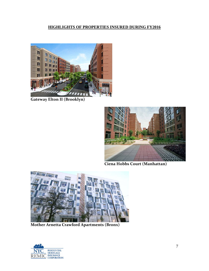# **HIGHLIGHTS OF PROPERTIES INSURED DURING FY2016**



**Gateway Elton II (Brooklyn)**



**Ciena Hobbs Court (Manhattan)**



**Mother Arnetta Crawford Apartments (Bronx)**

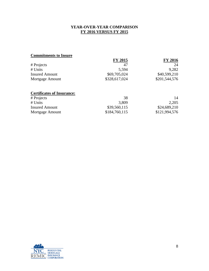# **YEAR-OVER-YEAR COMPARISON FY 2016 VERSUS FY 2015**

# **Commitments to Insure**

|                       | <b>FY 2015</b> | <b>FY 2016</b> |
|-----------------------|----------------|----------------|
| # Projects            | 47             | 24             |
| # Units               | 5.594          | 9,282          |
| <b>Insured Amount</b> | \$69,705,024   | \$40,599,210   |
| Mortgage Amount       | \$328,617,024  | \$201,544,576  |
|                       |                |                |

# **Certificates of Insurance:**

| # Projects            | 38            | 14            |
|-----------------------|---------------|---------------|
| # Units               | 3.809         | 2,205         |
| <b>Insured Amount</b> | \$39,560,115  | \$24,689,210  |
| Mortgage Amount       | \$184,760,115 | \$121,994,576 |

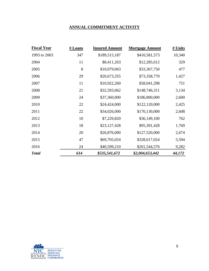# **ANNUAL COMMITMENT ACTIVITY**

| <b>Fiscal Year</b> | # Loans | <b>Insured Amount</b> | <b>Mortgage Amount</b> | # Units |
|--------------------|---------|-----------------------|------------------------|---------|
| 1993 to 2003       | 347     | \$189,515,187         | \$410,581,573          | 10,340  |
| 2004               | 11      | \$8,411,263           | \$12,285,612           | 329     |
| 2005               | 8       | \$10,079,063          | \$33,367,750           | 477     |
| 2006               | 29      | \$20,673,355          | \$73,358,770           | 1,427   |
| 2007               | 11      | \$10,922,260          | \$58,041,298           | 751     |
| 2008               | 21      | \$32,593,062          | \$148,746,311          | 3,134   |
| 2009               | 24      | \$37,360,000          | \$186,800,000          | 2,600   |
| 2010               | 22      | \$24,424,000          | \$122,120,000          | 2,425   |
| 2011               | 22      | \$34,026,000          | \$170,130,000          | 2,608   |
| 2012               | 10      | \$7,229,820           | \$36,149,100           | 762     |
| 2013               | 18      | \$23,127,428          | \$95,391,428           | 1,769   |
| 2014               | 20      | \$26,876,000          | \$127,520,000          | 2,674   |
| 2015               | 47      | \$69,705,024          | \$328,617,024          | 5,594   |
| 2016               | 24      | \$40,599,210          | \$201,544,576          | 9,282   |
| <b>Total</b>       | 614     | \$535,541,672         | \$2,004,653,442        | 44,172  |

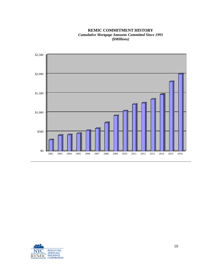**REMIC COMMITMENT HISTORY** *Cumulative Mortgage Amounts Committed Since 1993 (\$Millions)*



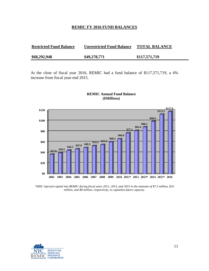#### **REMIC FY 2016 FUND BALANCES**

| <b>Restricted Fund Balance</b> | <b>Unrestricted Fund Balance</b> | <b>TOTAL BALANCE</b> |
|--------------------------------|----------------------------------|----------------------|
| \$68,292,948                   | \$49,278,771                     | \$117,571,719        |

At the close of fiscal year 2016, REMIC had a fund balance of \$117,571,719, a 4% increase from fiscal year-end 2015.



#### **REMIC Annual Fund Balance** *(\$Millions)*

*\*HDC injected capital into REMIC during fiscal years 2011, 2013, and 2015 in the amounts of \$7.5 million, \$10 million, and \$8 million, respectively, to capitalize future capacity.* 

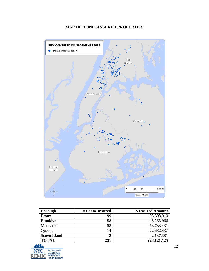# **MAP OF REMIC-INSURED PROPERTIES**



| <b>Borough</b>       | # Loans Insured | \$ Insured Amount |
|----------------------|-----------------|-------------------|
| <b>Bronx</b>         | 99              | 98,303,910        |
| <b>Brooklyn</b>      | 58              | 46,263,966        |
| Manhattan            | 58              | 58,733,431        |
| Queens               | 14              | 22,682,437        |
| <b>Staten Island</b> |                 | 2,137,381         |
| <b>TOTAL</b>         | 231             | 228, 121, 125     |

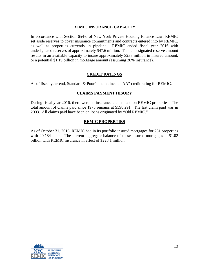## **REMIC INSURANCE CAPACITY**

In accordance with Section 654-d of New York Private Housing Finance Law, REMIC set aside reserves to cover insurance commitments and contracts entered into by REMIC, as well as properties currently in pipeline. REMIC ended fiscal year 2016 with undesignated reserves of approximately \$47.6 million. This undesignated reserve amount results in an available capacity to insure approximately \$238 million in insured amount, or a potential \$1.19 billion in mortgage amount (assuming 20% insurance).

# **CREDIT RATINGS**

As of fiscal year-end, Standard & Poor's maintained a "AA" credit rating for REMIC.

# **CLAIMS PAYMENT HISORY**

During fiscal year 2016, there were no insurance claims paid on REMIC properties. The total amount of claims paid since 1973 remains at \$598,291. The last claim paid was in 2003. All claims paid have been on loans originated by "Old REMIC."

## **REMIC PROPERTIES**

As of October 31, 2016, REMIC had in its portfolio insured mortgages for 231 properties with 20,184 units. The current aggregate balance of these insured mortgages is \$1.02 billion with REMIC insurance in effect of \$228.1 million.

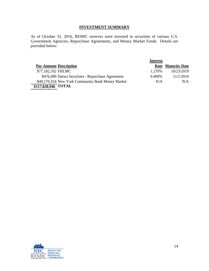# **INVESTMENT SUMMARY**

As of October 31, 2016, REMIC reserves were invested in securities of various U.S. Government Agencies, Repurchase Agreements, and Money Market Funds. Details are provided below:

|                                                   | <b>Interest</b> |                           |
|---------------------------------------------------|-----------------|---------------------------|
| <b>Par Amount Description</b>                     |                 | <b>Rate Maturity Date</b> |
| \$77,182,102 FHLMC                                | 1.270\%         | 10/23/2019                |
| \$476,490 Daiwa Securities - Repurchase Agreement | 0.400%          | 11/1/2016                 |
| \$40,170,354 New York Community Bank Money Market | N/A             | N/A                       |
| $$117,\overline{828,946}$ TOTAL                   |                 |                           |

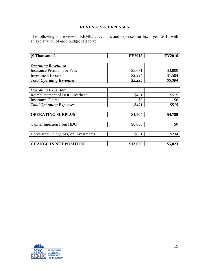# **REVENUES & EXPENSES**

The following is a review of REMIC's revenues and expenses for fiscal year 2016 with an explanation of each budget category:

| (\$ Thousands)                        | <b>FY2015</b> | <b>FY2016</b> |
|---------------------------------------|---------------|---------------|
|                                       |               |               |
| <b>Operating Revenues:</b>            |               |               |
| <b>Insurance Premiums &amp; Fees</b>  | \$3,071       | \$3,800       |
| <b>Investment Income</b>              | \$2,224       | \$1,504       |
| <b>Total Operating Revenues</b>       | \$5,295       | \$5,304       |
|                                       |               |               |
| <b>Operating Expenses:</b>            |               |               |
| Reimbursement of HDC Overhead         | \$491         | \$515         |
| <b>Insurance Claims</b>               | \$0           | \$0           |
| <b>Total Operating Expenses</b>       | \$491         | \$515         |
|                                       |               |               |
| <b>OPERATING SURPLUS</b>              | \$4,804       | \$4,789       |
|                                       |               |               |
| Capital Injection from HDC            | \$8,000       | \$0           |
|                                       |               |               |
| Unrealized Gain/(Loss) on Investments | \$821         | \$234         |
|                                       |               |               |
| <b>CHANGE IN NET POSITION</b>         | \$13,625      | \$5,023       |
|                                       |               |               |